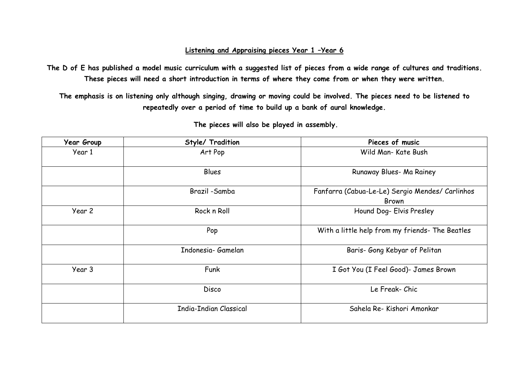## **Listening and Appraising pieces Year 1 –Year 6**

**The D of E has published a model music curriculum with a suggested list of pieces from a wide range of cultures and traditions. These pieces will need a short introduction in terms of where they come from or when they were written.**

**The emphasis is on listening only although singing, drawing or moving could be involved. The pieces need to be listened to repeatedly over a period of time to build up a bank of aural knowledge.**

| <b>Year Group</b> | Style/ Tradition       | Pieces of music                                                 |
|-------------------|------------------------|-----------------------------------------------------------------|
| Year 1            | Art Pop                | Wild Man- Kate Bush                                             |
|                   | Blues                  | Runaway Blues- Ma Rainey                                        |
|                   | Brazil -Samba          | Fanfarra (Cabua-Le-Le) Sergio Mendes/ Carlinhos<br><b>Brown</b> |
| Year 2            | Rock n Roll            | Hound Dog- Elvis Presley                                        |
|                   | Pop                    | With a little help from my friends- The Beatles                 |
|                   | Indonesia- Gamelan     | Baris- Gong Kebyar of Pelitan                                   |
| Year 3            | Funk                   | I Got You (I Feel Good)- James Brown                            |
|                   | <b>Disco</b>           | Le Freak- Chic                                                  |
|                   | India-Indian Classical | Sahela Re- Kishori Amonkar                                      |

**The pieces will also be played in assembly.**